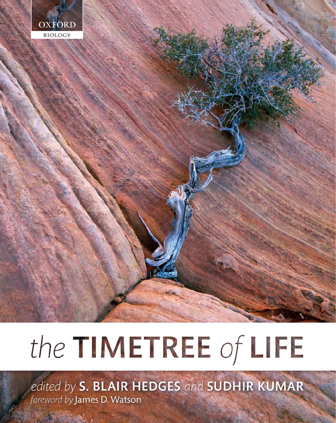

# the TIMETREE of LIFE

edited by S. BLAIR HEDGES and SUDHIR KUMAR foreword by James D. Watson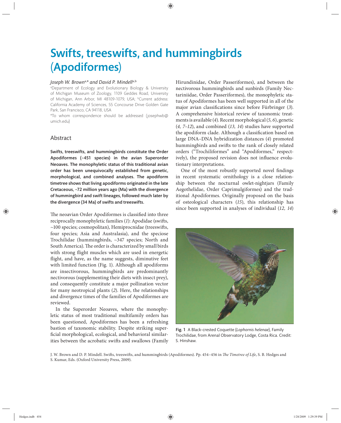# Swifts, treeswifts, and hummingbirds (Apodiformes)

#### *Joseph W. Brown*a,*\* and David P. Mindell*a,b

a Department of Ecology and Evolutionary Biology & University of Michigan Museum of Zoology, 1109 Geddes Road, University of Michigan, Ann Arbor, MI 48109-1079, USA; <sup>b</sup>Current address: California Academy of Sciences, 55 Concourse Drive Golden Gate Park, San Francisco, CA 94118, USA

\*To whom correspondence should be addressed (josephwb@ umich.edu)

## Abstract

Swifts, treeswifts, and hummingbirds constitute the Order Apodiformes (~451 species) in the avian Superorder Neoaves. The monophyletic status of this traditional avian order has been unequivocally established from genetic, morphological, and combined analyses. The apodiform timetree shows that living apodiforms originated in the late Cretaceous, ~72 million years ago (Ma) with the divergence of hummingbird and swift lineages, followed much later by the divergence (34 Ma) of swifts and treeswifts.

The neoavian Order Apodiformes is classified into three reciprocally monophyletic families (1): Apodidae (swifts,  $~100$  species; cosmopolitan), Hemiprocnidae (treeswifts, four species; Asia and Australasia), and the speciose Trochilidae (hummingbirds, ~347 species; North and South America). The order is characterized by small birds with strong flight muscles which are used in energetic flight, and have, as the name suggests, diminutive feet with limited function (Fig. 1). Although all apodiforms are insectivorous, hummingbirds are predominantly nectivorous (supplementing their diets with insect prey), and consequently constitute a major pollination vector for many neotropical plants (*2*). Here, the relationships and divergence times of the families of Apodiformes are reviewed.

In the Superorder Neoaves, where the monophyletic status of most traditional multifamily orders has been questioned, Apodiformes has been a refreshing bastion of taxonomic stability. Despite striking superficial morphological, ecological, and behavioral similarities between the acrobatic swifts and swallows (Family

Hirundinidae, Order Passeriformes), and between the nectivorous hummingbirds and sunbirds (Family Nectariniidae, Order Passeriformes), the monophyletic status of Apodiformes has been well supported in all of the major avian classifications since before Fürbringer (3). A comprehensive historical review of taxonomic treatments is available (*4*). Recent morphological (*5, 6*), genetic (*4, 7–12*), and combined (*13, 14*) studies have supported the apodiform clade. Although a classification based on large DNA–DNA hybridization distances (*4*) promoted hummingbirds and swifts to the rank of closely related orders ("Trochiliformes" and "Apodiformes," respectively), the proposed revision does not influence evolutionary interpretations.

One of the most robustly supported novel findings in recent systematic ornithology is a close relationship between the nocturnal owlet-nightjars (Family Aegothelidae, Order Caprimulgiformes) and the traditional Apodiformes. Originally proposed on the basis of osteological characters (*15*), this relationship has since been supported in analyses of individual (12, 14)



Fig. 1 A Black-crested Coquette (*Lophornis helenae*), Family Trochilidae, from Arenal Observatory Lodge, Costa Rica. Credit: S. Hinshaw.

J. W. Brown and D. P. Mindell. Swifts, treeswifts, and hummingbirds (Apodiformes). Pp. 454-456 in *The Timetree of Life*, S. B. Hedges and S. Kumar, Eds. (Oxford University Press, 2009).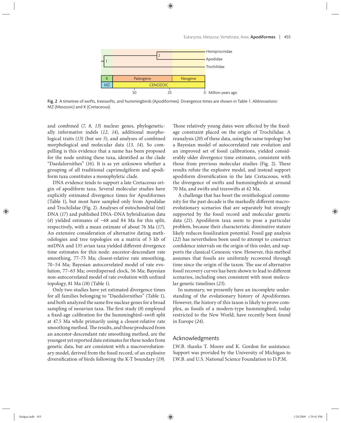

Fig. 2 A timetree of swifts, treeswifts, and hummingbirds (Apodiformes). Divergence times are shown in Table 1. *Abbreviations*: MZ (Mesozoic) and K (Cretaceous).

and combined (*7, 8, 13*) nuclear genes, phylogenetically informative indels (*12, 14*), additional morphological traits (*13*) (but see *5*), and analyses of combined morphological and molecular data (*13, 14*). So compelling is this evidence that a name has been proposed for the node uniting these taxa, identified as the clade "Daedalornithes" (16). It is as yet unknown whether a grouping of all traditional caprimulgiform and apodiform taxa constitutes a monophyletic clade.

DNA evidence tends to support a late Cretaceous origin of apodiform taxa. Several molecular studies have explicitly estimated divergence times for Apodiformes (Table 1), but most have sampled only from Apodidae and Trochilidae (Fig. 2). Analyses of mitochondrial (mt) DNA (*17*) and published DNA–DNA hybridization data (*4*) yielded estimates of ~68 and 84 Ma for this split, respectively, with a mean estimate of about 76 Ma (*17*). An extensive consideration of alternative dating methodologies and tree topologies on a matrix of 5 kb of mtDNA and 135 avian taxa yielded different divergence time estimates for this node: ancestor-descendant rate smoothing, 77–75 Ma; closest-relative rate smoothing, 70-54 Ma; Bayesian autocorrelated model of rate evolution, 77–63 Ma; overdispersed clock, 56 Ma; Bayesian non-autocorrelated model of rate evolution with unfixed topology, 81 Ma (*18*) (Table 1).

Only two studies have yet estimated divergence times for all families belonging to "Daedalornithes" (Table 1), and both analyzed the same five nuclear genes for a broad sampling of neoavian taxa. The first study (8) employed a fixed-age calibration for the hummingbird–swift split at 47.5 Ma while primarily using a closest-relative rate smoothing method. The results, and those produced from an ancestor-descendant rate smoothing method, are the youngest yet reported date estimates for these nodes from genetic data, but are consistent with a macroevolutionary model, derived from the fossil record, of an explosive diversification of birds following the K-T boundary (19).

Those relatively young dates were affected by the fixedage constraint placed on the origin of Trochilidae. A reanalysis (*20*) of these data, using the same topology but a Bayesian model of autocorrelated rate evolution and an improved set of fossil calibrations, yielded considerably older divergence time estimates, consistent with those from previous molecular studies (Fig. 2). These results refute the explosive model, and instead support apodiform diversification in the late Cretaceous, with the divergence of swifts and hummingbirds at around 70 Ma, and swifts and treeswifts at 42 Ma.

A challenge that has beset the ornithological community for the past decade is the markedly different macroevolutionary scenarios that are separately but strongly supported by the fossil record and molecular genetic data (21). Apodiform taxa seem to pose a particular problem, because their characteristic diminutive stature likely reduces fossilization potential. Fossil gap analysis (*22*) has nevertheless been used to attempt to construct confidence intervals on the origin of this order, and supports the classical Cenozoic view. However, this method assumes that fossils are uniformly recovered through time since the origin of the taxon. The use of alternative fossil recovery curves has been shown to lead to different scenarios, including ones consistent with most molecular genetic timelines (*23*).

In summary, we presently have an incomplete understanding of the evolutionary history of Apodiformes. However, the history of this taxon is likely to prove complex, as fossils of a modern-type hummingbird, today restricted to the New World, have recently been found in Europe (*24*).

#### Acknowledgments

J.W.B. thanks T. Moore and K. Gordon for assistance. Support was provided by the University of Michigan to J.W.B. and U.S. National Science Foundation to D.P.M.